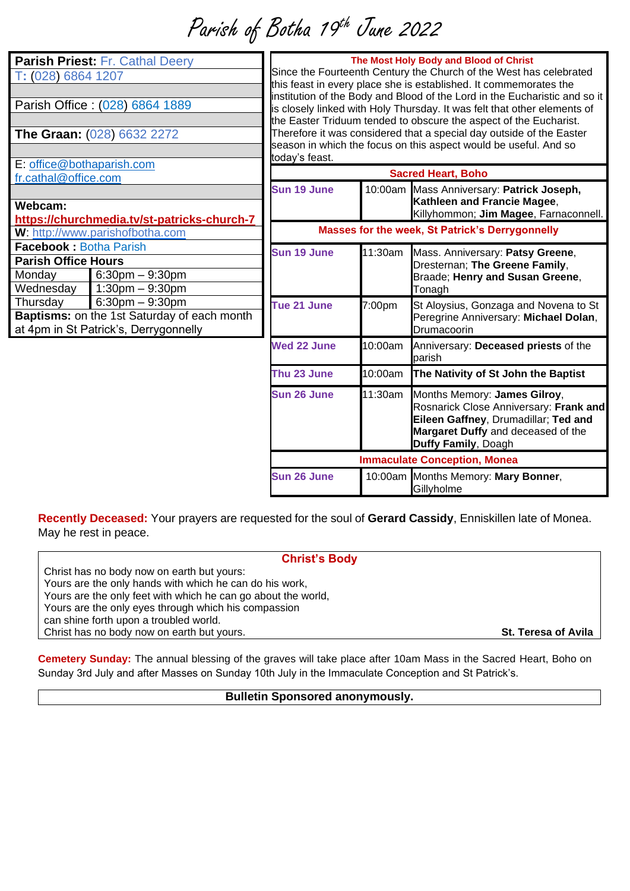# Parish of Botha 19<sup>th</sup> June 2022

| Parish Priest: Fr. Cathal Deery<br>T: (028) 6864 1207<br>Parish Office: (028) 6864 1889<br>The Graan: (028) 6632 2272<br>E: office@bothaparish.com |                                                                                                              | The Most Holy Body and Blood of Christ<br>Since the Fourteenth Century the Church of the West has celebrated<br>this feast in every place she is established. It commemorates the<br>institution of the Body and Blood of the Lord in the Eucharistic and so it<br>is closely linked with Holy Thursday. It was felt that other elements of<br>the Easter Triduum tended to obscure the aspect of the Eucharist.<br>Therefore it was considered that a special day outside of the Easter<br>season in which the focus on this aspect would be useful. And so<br>today's feast. |         |                                                                                                                                                                             |
|----------------------------------------------------------------------------------------------------------------------------------------------------|--------------------------------------------------------------------------------------------------------------|--------------------------------------------------------------------------------------------------------------------------------------------------------------------------------------------------------------------------------------------------------------------------------------------------------------------------------------------------------------------------------------------------------------------------------------------------------------------------------------------------------------------------------------------------------------------------------|---------|-----------------------------------------------------------------------------------------------------------------------------------------------------------------------------|
| fr.cathal@office.com<br>Webcam:                                                                                                                    |                                                                                                              | Sun 19 June                                                                                                                                                                                                                                                                                                                                                                                                                                                                                                                                                                    |         | <b>Sacred Heart, Boho</b><br>10:00am Mass Anniversary: Patrick Joseph,<br>Kathleen and Francie Magee,<br>Killyhommon; Jim Magee, Farnaconnell.                              |
| https://churchmedia.tv/st-patricks-church-7<br>W: http://www.parishofbotha.com                                                                     |                                                                                                              | Masses for the week, St Patrick's Derrygonnelly                                                                                                                                                                                                                                                                                                                                                                                                                                                                                                                                |         |                                                                                                                                                                             |
| <b>Facebook: Botha Parish</b><br><b>Parish Office Hours</b><br>Monday<br>Wednesday                                                                 | $6:30$ pm $-9:30$ pm<br>$1:30$ pm $-9:30$ pm                                                                 | Sun 19 June                                                                                                                                                                                                                                                                                                                                                                                                                                                                                                                                                                    | 11:30am | Mass. Anniversary: Patsy Greene,<br>Dresternan; The Greene Family,<br>Braade; Henry and Susan Greene,<br>Tonagh                                                             |
| Thursday                                                                                                                                           | $6:30$ pm $-9:30$ pm<br>Baptisms: on the 1st Saturday of each month<br>at 4pm in St Patrick's, Derrygonnelly | Tue 21 June                                                                                                                                                                                                                                                                                                                                                                                                                                                                                                                                                                    | 7:00pm  | St Aloysius, Gonzaga and Novena to St<br>Peregrine Anniversary: Michael Dolan,<br>Drumacoorin                                                                               |
|                                                                                                                                                    |                                                                                                              | Wed 22 June                                                                                                                                                                                                                                                                                                                                                                                                                                                                                                                                                                    | 10:00am | Anniversary: Deceased priests of the<br>parish                                                                                                                              |
|                                                                                                                                                    |                                                                                                              | Thu 23 June                                                                                                                                                                                                                                                                                                                                                                                                                                                                                                                                                                    | 10:00am | The Nativity of St John the Baptist                                                                                                                                         |
|                                                                                                                                                    |                                                                                                              | Sun 26 June                                                                                                                                                                                                                                                                                                                                                                                                                                                                                                                                                                    | 11:30am | Months Memory: James Gilroy,<br>Rosnarick Close Anniversary: Frank and<br>Eileen Gaffney, Drumadillar; Ted and<br>Margaret Duffy and deceased of the<br>Duffy Family, Doagh |
|                                                                                                                                                    |                                                                                                              | <b>Immaculate Conception, Monea</b>                                                                                                                                                                                                                                                                                                                                                                                                                                                                                                                                            |         |                                                                                                                                                                             |
|                                                                                                                                                    |                                                                                                              | Sun 26 June                                                                                                                                                                                                                                                                                                                                                                                                                                                                                                                                                                    |         | 10:00am Months Memory: Mary Bonner,<br>Gillyholme                                                                                                                           |

**Recently Deceased:** Your prayers are requested for the soul of **Gerard Cassidy**, Enniskillen late of Monea. May he rest in peace.

#### **Christ's Body**

Christ has no body now on earth but yours: Yours are the only hands with which he can do his work, Yours are the only feet with which he can go about the world, Yours are the only eyes through which his compassion can shine forth upon a troubled world. Christ has no body now on earth but yours. **St. Teresa of Avila**

**Cemetery Sunday:** The annual blessing of the graves will take place after 10am Mass in the Sacred Heart, Boho on Sunday 3rd July and after Masses on Sunday 10th July in the Immaculate Conception and St Patrick's.

### **Bulletin Sponsored anonymously.**